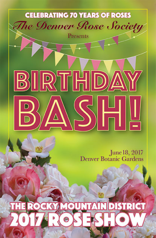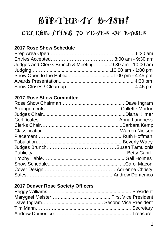## BIRTHDAY BASH!

## CELEBROATING 70 YEARS OF ROSES

## **2017 Rose Show Schedule**

| Judges and Clerks Brunch & Meeting9:30 am - 10:00 am |  |
|------------------------------------------------------|--|
|                                                      |  |
|                                                      |  |
|                                                      |  |
|                                                      |  |

## **2017 Rose Show Committee**

## **2017 Denver Rose Society Officers**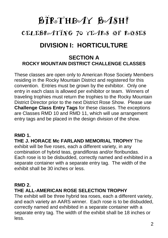# BIRSTHDAY BASH! CELEBROATING 70 YEARS OF ROSES **DIVISION I: HORTICULTURE**

## **SECTION A ROCKY MOUNTAIN DISTRICT CHALLENGE CLASSES**

These classes are open only to American Rose Society Members residing in the Rocky Mountain District and registered for this convention. Entries must be grown by the exhibitor. Only one entry in each class is allowed per exhibitor or team. Winners of traveling trophies must return the trophies to the Rocky Mountain District Director prior to the next District Rose Show. Please use **Challenge Class Entry Tags** for these classes. The exceptions are Classes RMD 10 and RMD 11, which will use arrangement entry tags and be placed in the design division of the show.

## **RMD 1.**

**THE J. HORACE Mc FARLAND MEMORIAL TROPHY** The exhibit will be five roses, each a different variety, in any combination of hybrid teas, grandifloras and/or floribundas. Each rose is to be disbudded, correctly named and exhibited in a separate container with a separate entry tag. The width of the exhibit shall be 30 inches or less.

## **RMD 2.**

## **THE ALL-AMERICAN ROSE SELECTION TROPHY**

The exhibit will be three hybrid tea roses, each a different variety, and each variety an AARS winner. Each rose is to be disbudded, correctly named and exhibited in a separate container with a separate entry tag. The width of the exhibit shall be 18 inches or less.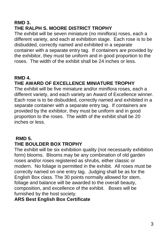## **RMD 3. THE RALPH S. MOORE DISTRICT TROPHY**

The exhibit will be seven miniature (no miniflora) roses, each a different variety, and each at exhibition stage. Each rose is to be disbudded, correctly named and exhibited in a separate container with a separate entry tag. If containers are provided by the exhibitor, they must be uniform and in good proportion to the roses. The width of the exhibit shall be 24 inches or less.

## **RMD 4.**

## **THE AWARD OF EXCELLENCE MINIATURE TROPHY**

The exhibit will be five miniature and/or miniflora roses, each a different variety, and each variety an Award of Excellence winner. Each rose is to be disbudded, correctly named and exhibited in a separate container with a separate entry tag. If containers are provided by the exhibitor, they must be uniform and in good proportion to the roses. The width of the exhibit shall be 20 inches or less.

## **RMD 5.**

## **THE BOULDER BOX TROPHY**

The exhibit will be six exhibition quality (not necessarily exhibition form) blooms. Blooms may be any combination of old garden roses and/or roses registered as shrubs, either classic or modern. No foliage is permitted in the exhibit. All roses must be correctly named on one entry tag. Judging shall be as for the English Box class. The 30 points normally allowed for stem, foliage and balance will be awarded to the overall beauty, composition, and excellence of the exhibit. Boxes will be furnished by the host society.

## **ARS Best English Box Certificate**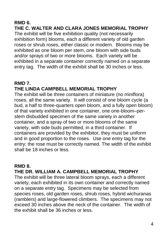## **RMD 6.**

**THE C. WALTER AND CLARA JONES MEMORIAL TROPHY** The exhibit will be five exhibition quality (not necessarily exhibition form) blooms, each a different variety of old garden roses or shrub roses, either classic or modern. Blooms may be exhibited as one bloom per stem, one bloom with side buds and/or sprays of two or more blooms. Each variety will be exhibited in a separate container correctly named on a separate entry tag. The width of the exhibit shall be 30 inches or less.

## **RMD 7. THE LINDA CAMPBELL MEMORIAL TROPHY**

The exhibit will be three containers of miniature (no miniflora) roses, all the same variety. It will consist of one bloom cycle (a bud, a half to three-quarters open bloom, and a fully open bloom) of that variety exhibited in one container, one one-bloom–perstem disbudded specimen of the same variety in another container, and a spray of two or more blooms of the same variety, with side buds permitted, in a third container. If containers are provided by the exhibitor, they must be uniform and in good proportion to the roses. Use one entry tag for the entry; the rose must be correctly named. The width of the exhibit shall be 18 inches or less.

## **RMD 8.**

## **THE DR. WILLIAM A. CAMPBELL MEMORIAL TROPHY**

The exhibit will be three lateral bloom sprays, each a different variety, each exhibited in its own container and correctly named on a separate entry tag. Specimens may be selected from species roses, old garden roses, shrub roses, hybrid wichuranas (ramblers) and large-flowered climbers. The specimens may not exceed 30 inches above the neck of the container. The width of the exhibit shall be 36 inches or less.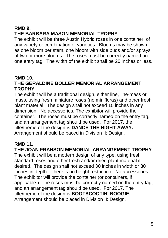## **RMD 9. THE BARBARA MASON MEMORIAL TROPHY**

The exhibit will be three Austin Hybrid roses in one container, of any variety or combination of varieties. Blooms may be shown as one bloom per stem, one bloom with side buds and/or sprays of two or more blooms. The roses must be correctly named on one entry tag. The width of the exhibit shall be 20 inches or less.

## **RMD 10. THE GERALDINE BOLLER MEMORIAL ARRANGEMENT TROPHY**

The exhibit will be a traditional design, either line, line-mass or mass, using fresh miniature roses (no minifloras) and other fresh plant material. The design shall not exceed 10 inches in any dimension. No accessories. The exhibitor will provide the container. The roses must be correctly named on the entry tag, and an arrangement tag should be used. For 2017, the title/theme of the design is **DANCE THE NIGHT AWAY.**  Arrangement should be paced in Division II: Design.

## **RMD 11.**

## **THE JOAN FRANSON MEMORIAL ARRANGEMENT TROPHY**

The exhibit will be a modern design of any type, using fresh standard roses and other fresh and/or dried plant material if desired. The design shall not exceed 30 inches in width or 30 inches in depth. There is no height restriction. No accessories. The exhibitor will provide the container (or containers, if applicable.) The roses must be correctly named on the entry tag, and an arrangement tag should be used. For 2017. The title/theme of the design is **BOOTSCOOTIN' BOOGIE.**  Arrangement should be placed in Division II: Design.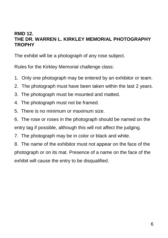## **RMD 12. THE DR. WARREN L. KIRKLEY MEMORIAL PHOTOGRAPHY TROPHY**

The exhibit will be a photograph of any rose subject.

Rules for the Kirkley Memorial challenge class:

- 1. Only one photograph may be entered by an exhibitor or team.
- 2. The photograph must have been taken within the last 2 years.
- 3. The photograph must be mounted and matted.
- 4. The photograph must not be framed.
- 5. There is no minimum or maximum size.
- 6. The rose or roses in the photograph should be named on the entry tag if possible, although this will not affect the judging.
- 7. The photograph may be in color or black and white.

8. The name of the exhibitor must not appear on the face of the photograph or on its mat. Presence of a name on the face of the exhibit will cause the entry to be disqualified.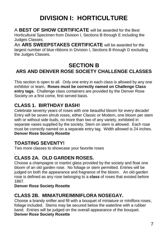## **DIVISION I: HORTICULTURE**

A **BEST OF SHOW CERTIFICATE** will be awarded for the Best Horticultural Specimen from Division I, Sections B through E including the Judges Classes.

An **ARS SWEEPSTAKES CERTIFICATE** will be awarded for the largest number of blue ribbons in Division I, Sections B through D excluding the Judges Classes.

## **SECTION B ARS AND DENVER ROSE SOCIETY CHALLENGE CLASSES**

This section is open to all. Only one entry in each class is allowed by any one exhibitor or team**. Roses must be correctly named on Challenge Class entry tags.** Challenge class containers are provided by the Denver Rose Society on a first come, first served basis.

## **CLASS 1. BIRTHDAY BASH!**

Celebrate seventy years of roses with one beautiful bloom for every decade! Entry will be seven shrub roses, either Classic or Modern, one bloom per stem with or without side buds, no more than two of any variety, exhibited in separate vases supplied by the society. Stem on stem is allowed. Each rose must be correctly named on a separate entry tag. Width allowed is 24 inches. **Denver Rose Society Rosette**

## **TOASTING SEVENTY!**

Two more classes to showcase your favorite roses

#### . **CLASS 2A. OLD GARDEN ROSES.**

Choose a champagne or martini glass provided by the society and float one bloom of an old garden rose. No foliage or stem permitted. Entries will be judged on both the appearance and fragrance of the bloom. An old garden rose is defined as any rose belonging to a **class** of roses that existed before 1867.

### **Denver Rose Society Rosette**

## **CLASS 2B. MINIATURE/MINIFLORA NOSEGAY.**

Choose a brandy snifter and fill with a bouquet of miniature or miniflora roses, foliage included. Stems may be secured below the waterline with a rubber band. Entries will be judged on the overall appearance of the bouquet. **Denver Rose Society Rosette**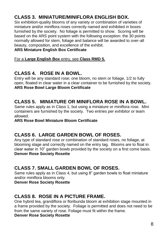## **CLASS 3. MINIATURE/MINIFLORA ENGLISH BOX.**

Six exhibition-quality blooms of any variety or combination of varieties of miniature and/or miniflora roses correctly named and exhibited in boxes furnished by the society. No foliage is permitted to show. Scoring will be based on the ARS point system with the following exception: the 30 points normally allowed for stem, foliage and balance will be awarded to over-all beauty, composition, and excellence of the exhibit.

#### **ARS Miniature English Box Certificate**

For a **Large English Box** entry, see **Class RMD 5.**

## **CLASS 4. ROSE IN A BOWL.**

Entry will be any standard rose; one bloom, no stem or foliage, 1/2 to fully open, floated in clear water in a clear container to be furnished by the society. **ARS Rose Bowl Large Bloom Certificate** 

## **CLASS 5. MINIATURE OR MINIFLORA ROSE IN A BOWL.**

Same rules apply as in Class 1, but using a miniature or miniflora rose. Mini containers are furnished by the society. Two entries per exhibitor or team allowed.

#### **ARS Rose Bowl Miniature Bloom Certificate**

## **CLASS 6. LARGE GARDEN BOWL OF ROSES.**

Any type of standard rose or combination of standard roses, no foliage, at blooming stage and correctly named on the entry tag. Blooms are to float in clear water in 10" garden bowls provided by the society on a first come basis. **Denver Rose Society Rosette**

## **CLASS 7. SMALL GARDEN BOWL OF ROSES.**

Same rules apply as in Class 4, but using 8" garden bowls to float miniature and/or miniflora blooms only.

**Denver Rose Society Rosette**

## **CLASS 8. ROSE IN A PICTURE FRAME.**

One hybrid tea, grandiflora or floribunda bloom at exhibition stage mounted in a frame provided by the society. Foliage is permitted and does not need to be from the same variety of rose. Foliage must fit within the frame.

**Denver Rose Society Rosette**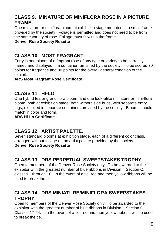## **CLASS 9. MINATURE OR MINIFLORA ROSE IN A PICTURE FRAME.**

One miniature or miniflora bloom at exhibition stage mounted in a small frame provided by the society. Foliage is permitted and does not need to be from the same variety of rose. Foliage must fit within the frame.

#### **Denver Rose Society Rosette**

## **CLASS 10. MOST FRAGRANT.**

Entry is one bloom of a fragrant rose of any type or variety to be correctly named and displayed in a container furnished by the society. To be scored 70 points for fragrance and 30 points for the overall general condition of the exhibit.

#### **ARS Most Fragrant Rose Certificate**

## **CLASS 11. HI-LO.**

One hybrid tea or grandiflora bloom, and one look-alike miniature or mini-flora bloom, both at exhibition stage, both without side buds, with separate entry tags, exhibited in separate containers provided by the society. Blooms should match in color and form.

#### **ARS Hi-Lo Certificate**

## **CLASS 12. ARTIST PALETTE.**

Seven standard blooms at exhibition stage, each of a different color class, arranged without foliage on an artist palette provided by the society. **Denver Rose Society Rosette**

## **CLASS 13. DRS PERPETUAL SWEEPSTAKES TROPHY**

Open to members of the Denver Rose Society only. To be awarded to the exhibitor with the greatest number of blue ribbons in Division I, Section C, classes 1 through 16. In the event of a tie, red and then yellow ribbons will be used to break the tie.

## **CLASS 14. DRS MINIATURE/MINIFLORA SWEEPSTAKES TROPHY**

Open to members of the Denver Rose Society only. To be awarded to the exhibitor with the greatest number of blue ribbons in Division I, Section C, Classes 17-24. In the event of a tie, red and then yellow ribbons will be used to break the tie.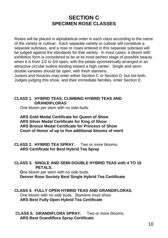## **SECTION C SPECIMEN ROSE CLASSES**

Roses will be placed in alphabetical order in each class according to the name of the variety or cultivar. Each separate variety or cultivar will constitute a separate subclass, and a rose or roses entered in this separate subclass will be judged against the standards for that variety. In most cases, a bloom with exhibition form is considered to be at its most perfect stage of possible beauty when it is from 1/2 to 3/4 open, with the petals symmetrically arranged in an attractive circular outline tending toward a high center. Single and semidouble varieties should be open, with fresh stamens.

Juniors and Novices may enter either Section C or Section D, but not both. Judges judging this show, and their immediate families, enter Section E.

#### **CLASS 1. HYBRID TEAS, CLIMBING HYBRID TEAS AND GRANDIFLORAS**

One bloom per stem with no side buds.

#### **ARS Gold Medal Certificate for Queen of Show ARS Silver Medal Certificate for King of Show ARS Bronze Medal Certificate for Princess of Show Court of Honor of up to five additional blooms of merit**

**CLASS 2. HYBRID TEA SPRAY.** Two or more blooms.  **ARS Certificate for Best Hybrid Tea Spray**

#### **CLASS 3. SINGLE AND SEMI-DOUBLE HYBRID TEAS with 4 TO 16 PETALS.**

 **O**ne bloom per stem with no side buds. **Denver Rose Society Best Single Hybrid Tea Certificate** 

#### **CLASS 4. FULLY OPEN HYBRID TEAS AND GRANDIFLORAS.**

One bloom with no side buds. Stamens must show. **ARS Best Fully Open Hybrid Tea Certificate** 

#### **CLASS 5. GRANDIFLORA SPRAY.** Two or more blooms. **ARS Best Grandiflora Spray Certificate**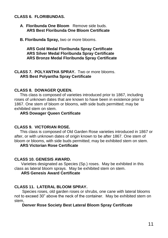#### **CLASS 6. FLORIBUNDAS.**

- **A**. **Floribunda One Bloom** Remove side buds. **ARS Best Floribunda One Bloom Certificate**
- **B. Floribunda Spray,** two or more blooms.

#### **ARS Gold Medal Floribunda Spray Certificate**  **ARS Silver Medal Floribunda Spray Certificate ARS Bronze Medal Floribunda Spray Certificate**

#### **CLASS 7. POLYANTHA SPRAY.** Two or more blooms. **ARS Best Polyantha Spray Certificate**

#### **CLASS 8. DOWAGER QUEEN.**

This class is composed of varieties introduced prior to 1867, including roses of unknown dates that are known to have been in existence prior to 1867. One stem of bloom or blooms, with side buds permitted; may be exhibited stem on stem.

#### **ARS Dowager Queen Certificate**

#### **CLASS 9. VICTORIAN ROSE.**

This class is composed of Old Garden Rose varieties introduced in 1867 or after, or with unknown dates of origin known to be after 1867. One stem of bloom or blooms, with side buds permitted; may be exhibited stem on stem.

#### **ARS Victorian Rose Certificate**

#### **CLASS 10. GENESIS AWARD.**

Varieties designated as Species (Sp.) roses. May be exhibited in this class as lateral bloom sprays. May be exhibited stem on stem.

#### **ARS Genesis Award Certificate**

#### **CLASS 11. LATERAL BLOOM SPRAY.**

 Species roses, old garden roses or shrubs, one cane with lateral blooms not to exceed 30" above the neck of the container. May be exhibited stem on stem,

#### **Denver Rose Society Best Lateral Bloom Spray Certificate**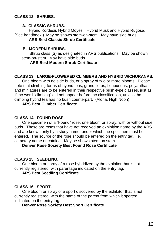#### **CLASS 12. SHRUBS.**

#### **A. CLASSIC SHRUBS.**

 Hybrid Kordesii, Hybrid Moyesii, Hybrid Musk and Hybrid Rugosa. (See handbook.) May be shown stem-on-stem. May have side buds.  **ARS Best Classic Shrub Certificate** 

#### **B. MODERN SHRUBS.**

Shrub class (S) as designated in ARS publications. May be shown stem-on-stem. May have side buds.

#### **ARS Best Modern Shrub Certificate**

#### **CLASS 13. LARGE-FLOWERED CLIMBERS AND HYBRID WICHURANAS.**

One bloom with no side buds, or a spray of two or more blooms. Please note that climbing forms of hybrid teas, grandifloras, floribundas, polyanthas, and miniatures are to be entered in their respective bush-type classes, just as if the word "climbing" did not appear before the classification, unless the climbing hybrid tea has no bush counterpart. (Aloha, High Noon)

#### **ARS Best Climber Certificate**

#### **CLASS 14. FOUND ROSE.**

One specimen of a "Found" rose, one bloom or spray, with or without side buds. These are roses that have not received an exhibition name by the ARS and are known only by a study name, under which the specimen must be entered. The source of the rose should be entered on the entry tag, i.e. cemetery name or catalog. May be shown stem on stem.

#### **Denver Rose Society Best Found Rose Certificate**

#### **CLASS 15. SEEDLING.**

One bloom or spray of a rose hybridized by the exhibitor that is not currently registered, with parentage indicated on the entry tag.

#### **ARS Best Seedling Certificate**

#### **CLASS 16. SPORT.**

One bloom or spray of a sport discovered by the exhibitor that is not currently registered, with the name of the parent from which it sported indicated on the entry tag.

#### **Denver Rose Society Best Sport Certificate**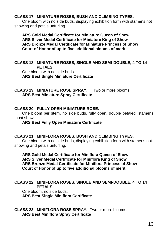#### **CLASS 17. MINIATURE ROSES, BUSH AND CLIMBING TYPES.**

 One bloom with no side buds, displaying exhibition form with stamens not showing and petals unfurling.

 **ARS Gold Medal Certificate for Miniature Queen of Show ARS Silver Medal Certificate for Miniature King of Show ARS Bronze Medal Certificate for Miniature Princess of Show Court of Honor of up to five additional blooms of merit**

#### **CLASS 18. MINIATURE ROSES, SINGLE AND SEMI-DOUBLE, 4 TO 14 PETALS**

 One bloom with no side buds. **ARS Best Single Miniature Certificate**

**CLASS 19. MINIATURE ROSE SPRAY.** Two or more blooms. **ARS Best Miniature Spray Certificate** 

#### **CLASS 20. FULLY OPEN MINIATURE ROSE.**

 One bloom per stem, no side buds, fully open, double petaled, stamens must show.

#### **ARS Best Fully Open Miniature Certificate**

#### **CLASS 21. MINIFLORA ROSES, BUSH AND CLIMBING TYPES.**

One bloom with no side buds, displaying exhibition form with stamens not showing and petals unfurling.

 **ARS Gold Medal Certificate for Miniflora Queen of Show ARS Silver Medal Certificate for Miniflora King of Show ARS Bronze Medal Certificate for Miniflora Princess of Show Court of Honor of up to five additional blooms of merit.**

#### **CLASS 22. MINIFLORA ROSES, SINGLE AND SEMI-DOUBLE, 4 TO 14 PETALS.**

 One bloom, no side buds. **ARS Best Single Miniflora Certificate** 

**CLASS 23. MINIFLORA ROSE SPRAY.** Two or more blooms. **ARS Best Miniflora Spray Certificate**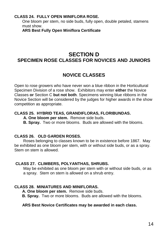#### **CLASS 24. FULLY OPEN MINIFLORA ROSE.**

One bloom per stem, no side buds, fully open, double petaled, stamens must show.

**ARS Best Fully Open Miniflora Certificate**

## **SECTION D SPECIMEN ROSE CLASSES FOR NOVICES AND JUNIORS**

## **NOVICE CLASSES**

Open to rose growers who have never won a blue ribbon in the Horticultural Specimen Division of a rose show. Exhibitors may enter **either** the Novice Classes **or** Section C **but not both**. Specimens winning blue ribbons in the Novice Section will be considered by the judges for higher awards in the show competition as appropriate.

#### **CLASS 25. HYBRID TEAS, GRANDIFLORAS, FLORIBUNDAS.**

 **A. One bloom per stem.** Remove side buds.

**B. Spray.** Two or more blooms. Buds are allowed with the blooms.

#### **CLASS 26. OLD GARDEN ROSES.**

 Roses belonging to classes known to be in existence before 1867. May be exhibited as one bloom per stem, with or without side buds, or as a spray. Stem on stem is allowed.

#### **CLASS 27. CLIMBERS, POLYANTHAS, SHRUBS.**

 May be exhibited as one bloom per stem with or without side buds, or as a spray. Stem on stem is allowed on a shrub entry.

#### **CLASS 28. MINIATURES AND MINIFLORAS.**

**A. One bloom per stem.** Remove side buds.

 **B. Spray.** Two or more blooms. Buds are allowed with the blooms.

#### **ARS Best Novice Certificates may be awarded in each class.**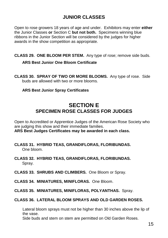## **JUNIOR CLASSES**

Open to rose growers 18 years of age and under. Exhibitors may enter **either**  the Junior Classes **or** Section C **but not both.** Specimens winning blue ribbons in the Junior Section will be considered by the judges for higher awards in the show competition as appropriate.

**CLASS 29. ONE BLOOM PER STEM.** Any type of rose; remove side buds.

#### **ARS Best Junior One Bloom Certificate**

**CLASS 30. SPRAY OF TWO OR MORE BLOOMS.** Any type of rose. Side buds are allowed with two or more blooms.

#### **ARS Best Junior Spray Certificates**

## **SECTION E SPECIMEN ROSE CLASSES FOR JUDGES**

Open to Accredited or Apprentice Judges of the American Rose Society who are judging this show and their immediate families. **ARS Best Judges Certificates may be awarded in each class.**

- **CLASS 31. HYBRID TEAS, GRANDIFLORAS, FLORIBUNDAS.** One bloom.
- **CLASS 32. HYBRID TEAS, GRANDIFLORAS, FLORIBUNDAS.** Spray.
- **CLASS 33. SHRUBS AND CLIMBERS.** One Bloom or Spray.
- **CLASS 34. MINIATURES, MINIFLORAS.** One Bloom.
- **CLASS 35. MINIATURES, MINIFLORAS, POLYANTHAS.** Spray.

#### **CLASS 36. LATERAL BLOOM SPRAYS AND OLD GARDEN ROSES.**

Lateral bloom sprays must not be higher than 30 inches above the lip of the vase.

Side buds and stem on stem are permitted on Old Garden Roses.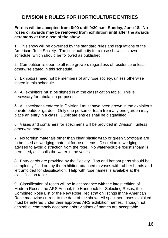## **DIVISION I: RULES FOR HORTICULTURE ENTRIES**

**Entries will be accepted from 8:00 until 9:30 a.m. Sunday, June 18. No roses or awards may be removed from exhibition until after the awards ceremony at the close of the show.**

1. This show will be governed by the standard rules and regulations of the American Rose Society. The final authority for a rose show is its own schedule, which should be followed as published.

2. Competition is open to all rose growers regardless of residence unless otherwise stated in this schedule.

3. Exhibitors need not be members of any rose society, unless otherwise stated in this schedule.

4. All exhibitors must be signed in at the classification table. This is necessary for tabulation purposes.

5. All specimens entered in Division I must have been grown in the exhibitor's private outdoor garden. Only one person or team from any one garden may place an entry in a class. Duplicate entries shall be disqualified.

6. Vases and containers for specimens will be provided in Division I unless otherwise noted.

7. No foreign materials other than clear plastic wrap or green Styrofoam are to be used as wedging material for rose stems. Discretion in wedging is advised to avoid distraction from the rose. No water-soluble florist's foam is permitted**,** as it soils the water in the vases.

8. Entry cards are provided by the Society. Top and bottom parts should be completely filled out by the exhibitor, attached to vases with rubber bands and left unfolded for classification. Help with rose names is available at the classification table.

9. Classification of roses will be in accordance with the latest edition of Modern Roses, the ARS Annual, the Handbook for Selecting Roses, the Combined Rose List or the New Rose Registration listings in the American Rose magazine current to the date of the show. All specimen roses exhibited must be entered under their approved ARS exhibition names. Though not desirable, commonly accepted abbreviations of names are acceptable.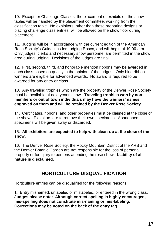10. Except for Challenge Classes, the placement of exhibits on the show tables will be handled by the placement committee, working from the classification table. No exhibitors, other than those preparing designs or placing challenge class entries, will be allowed on the show floor during placement.

11. Judging will be in accordance with the current edition of the American Rose Society's Guidelines for Judging Roses, and will begin at 10:00 a.m. Only judges, clerks and necessary show personnel are permitted in the show area during judging. Decisions of the judges are final.

12. First, second, third, and honorable mention ribbons may be awarded in each class based on quality in the opinion of the judges. Only blue ribbon winners are eligible for advanced awards. No award is required to be awarded for any entry or class.

13. Any traveling trophies which are the property of the Denver Rose Society must be available at next year's show. **Traveling trophies won by nonmembers or out of town individuals may have the winners' names engraved on them and will be retained by the Denver Rose Society.**

14. Certificates, ribbons, and other properties must be claimed at the close of the show. Exhibitors are to remove their own specimens. Abandoned specimens will be given away or discarded.

#### 15. **All exhibitors are expected to help with clean-up at the close of the show.**

16. The Denver Rose Society, the Rocky Mountain District of the ARS and the Denver Botanic Garden are not responsible for the loss of personal property or for injury to persons attending the rose show. **Liability of all nature is disclaimed.**

## **HORTICULTURE DISQUALIFICATION**

Horticulture entries can be disqualified for the following reasons:

1. Entry misnamed, unlabeled or mislabeled, or entered in the wrong class. **Judges please note: Although correct spelling is highly encouraged, mis-spelling does not constitute mis-naming or mis-labeling. Corrections may be noted on the back of the entry tag.**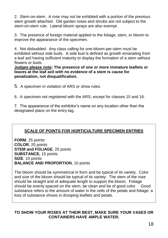2. Stem-on-stem. A rose may not be exhibited with a portion of the previous stem growth attached. Old garden roses and shrubs are not subject to the stem-on-stem rule. Lateral bloom sprays are also exempt.

3. The presence of foreign material applied to the foliage, stem, or bloom to improve the appearance of the specimen.

4. Not disbudded. Any class calling for one-bloom-per-stem must be exhibited without side buds. A side bud is defined as growth emanating from a leaf axil having sufficient maturity to display the formation of a stem without flowers or buds.

**Judges please note: The presence of one or more immature leaflets or leaves at the leaf axil with no evidence of a stem is cause for penalization, not disqualification.**

5. A specimen in violation of ARS or show rules.

6. A specimen not registered with the ARS, except for classes 15 and 16.

7. The appearance of the exhibitor's name on any location other than the designated place on the entry tag.

### **SCALE OF POINTS FOR HORTICULTURE SPECIMEN ENTRIES**

**FORM**, 25 points **COLOR**, 20 points **STEM and FOLIAGE**, 20 points **SUBSTANCE,** 15 points **SIZE**, 10 points **BALANCE AND PROPORTION**, 10 points

The bloom should be symmetrical in form and be typical of its variety. Color and size of the bloom should be typical of its variety. The stem of the rose should be straight and of adequate length to support the bloom. Foliage should be evenly spaced on the stem, be clean and be of good color. Good substance refers to the amount of water in the cells of the petals and foliage; a loss of substance shows in drooping leaflets and petals.

#### **TO SHOW YOUR ROSES AT THEIR BEST, MAKE SURE YOUR VASES OR CONTAINERS HAVE AMPLE WATER.**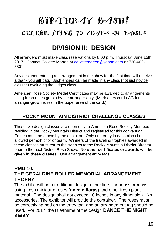# BIRSTHDAY BASH! CELEBROATING 70 YEARS OF ROSES

## **DIVISION II: DESIGN**

All arrangers must make class reservations by 8:00 p.m. Thursday, June 15th, 2017. Contact Collette Morton at [collettemorton@yahoo.com](mailto:collettemorton@yahoo.com) or 720-402- 8801.

Any designer entering an arrangement in the show for the first time will receive a thank you gift bag. Such entries can be made in any class (not just novice classes) excluding the judges class.

American Rose Society Medal Certificates may be awarded to arrangements using fresh roses grown by the arranger only. (Mark entry cards AG for arranger-grown roses in the upper area of the card.)

## **ROCKY MOUNTAIN DISTRICT CHALLENGE CLASSES**

These two design classes are open only to American Rose Society Members residing in the Rocky Mountain District and registered for this convention. Entries must be grown by the exhibitor. Only one entry in each class is allowed per exhibitor or team. Winners of the traveling trophies awarded in these classes must return the trophies to the Rocky Mountain District Director prior to the next District Rose Show. **No other certificates or awards will be given in these classes.** Use arrangement entry tags.

## **RMD 10. THE GERALDINE BOLLER MEMORIAL ARRANGEMENT TROPHY**

The exhibit will be a traditional design, either line, line-mass or mass, using fresh miniature roses (**no minifloras**) and other fresh plant material. The design shall not exceed 10 inches in any dimension. No accessories. The exhibitor will provide the container. The roses must be correctly named on the entry tag, and an arrangement tag should be used. For 2017, the title/theme of the design **DANCE THE NIGHT AWAY.**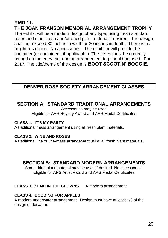## **RMD 11. THE JOAN FRANSON MEMORIAL ARRANGEMENT TROPHY**

The exhibit will be a modern design of any type, using fresh standard roses and other fresh and/or dried plant material if desired. The design shall not exceed 30 inches in width or 30 inches in depth. There is no height restriction. No accessories. The exhibitor will provide the container (or containers, if applicable.) The roses must be correctly named on the entry tag, and an arrangement tag should be used. For 2017. The title/theme of the design is **BOOT SCOOTIN' BOOGIE.**

## **DENVER ROSE SOCIETY ARRANGEMENT CLASSES**

## **SECTION A: STANDARD TRADITIONAL ARRANGEMENTS**

Accessories may be used. Eligible for ARS Royalty Award and ARS Medal Certificates

#### **CLASS 1. IT'S MY PARTY**

A traditional mass arrangement using all fresh plant materials.

#### **CLASS 2. WINE AND ROSES**

A traditional line or line-mass arrangement using all fresh plant materials.

## **SECTION B: STANDARD MODERN ARRANGEMENTS**

Some dried plant material may be used if desired. No accessories. Eligible for ARS Artist Award and ARS Medal Certificates

#### **CLASS 3. SEND IN THE CLOWNS.** A modern arrangement.

#### **CLASS 4. BOBBING FOR APPLES**

A modern underwater arrangement. Design must have at least 1/3 of the design underwater.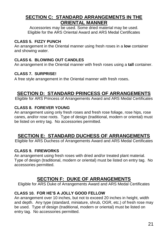## **SECTION C: STANDARD ARRANGEMENTS IN THE ORIENTAL MANNER**

Accessories may be used. Some dried material may be used. Eligible for the ARS Oriental Award and ARS Medal Certificates

#### **CLASS 5. FIZZY PUNCH**

An arrangement in the Oriental manner using fresh roses in a **low** container and showing water.

#### **CLASS 6. BLOWING OUT CANDLES**

An arrangement in the Oriental manner with fresh roses using a **tall** container.

#### **CLASS 7. SURPRISE!**

A free style arrangement in the Oriental manner with fresh roses.

## **SECTION D: STANDARD PRINCESS OF ARRANGEMENTS**

Eligible for ARS Princess of Arrangements Award and ARS Medal Certificates

#### **CLASS 8. FOREVER YOUNG**

An arrangement using only fresh roses and fresh rose foliage, rose hips, rose canes, and/or rose roots. Type of design (traditional, modern or oriental) must be listed on entry tag. No accessories permitted.

## **SECTION E: STANDARD DUCHESS OF ARRANGEMENTS**

Eligible for ARS Duchess of Arrangements Award and ARS Medal Certificates

#### **CLASS 9. FIREWORKS**

An arrangement using fresh roses with dried and/or treated plant material. Type of design (traditional, modern or oriental) must be listed on entry tag. No accessories permitted.

## **SECTION F: DUKE OF ARRANGEMENTS**

Eligible for ARS Duke of Arrangements Award and ARS Medal Certificates

### **CLASS 10. FOR HE'S A JOLLY GOOD FELLOW**

An arrangement over 10 inches, but not to exceed 20 inches in height, width and depth. Any type (standard, miniature, shrub, OGR, etc.) of fresh rose may be used. Type of design (traditional, modern or oriental) must be listed on entry tag. No accessories permitted.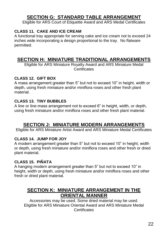## **SECTION G: STANDARD TABLE ARRANGEMENT**

Eligible for ARS Court of Etiquette Award and ARS Medal Certificates

### **CLASS 11. CAKE AND ICE CREAM**

A functional tray appropriate for serving cake and ice cream not to exceed 24 inches wide incorporating a design proportional to the tray. No flatware permitted.

## **SECTION H: MINIATURE TRADITIONAL ARRANGEMENTS**

Eligible for ARS Miniature Royalty Award and ARS Miniature Medal **Certificates** 

#### **CLASS 12. GIFT BOX**

A mass arrangement greater than 5" but not to exceed 10" in height, width or depth, using fresh miniature and/or miniflora roses and other fresh plant material.

#### **CLASS 13. TINY BUBBLES**

A line or line-mass arrangement not to exceed 6" in height, width, or depth, using fresh miniature and/or miniflora roses and other fresh plant material.

## **SECTION J: MINIATURE MODERN ARRANGEMENTS**

Eligible for ARS Miniature Artist Award and ARS Miniature Medal Certificates

### **CLASS 14. JUMP FOR JOY**

A modern arrangement greater than 5" but not to exceed 10" in height, width or depth, using fresh miniature and/or miniflora roses and other fresh or dried plant material.

#### **CLASS 15. PIÑATA**

A hanging modern arrangement greater than 5" but not to exceed 10" in height, width or depth, using fresh miniature and/or miniflora roses and other fresh or dried plant material.

## **SECTION K: MINIATURE ARRANGEMENT IN THE ORIENTAL MANNER**

Accessories may be used. Some dried material may be used. Eligible for ARS Miniature Oriental Award and ARS Miniature Medal **Certificates**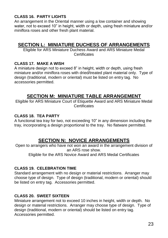#### **CLASS 16. PARTY LIGHTS**

An arrangement in the Oriental manner using a low container and showing water, not to exceed 10" in height, width or depth, using fresh miniature and/or miniflora roses and other fresh plant material.

## **SECTION L: MINIATURE DUCHESS OF ARRANGEMENTS**

Eligible for ARS Miniature Duchess Award and ARS Miniature Medal **Certificates** 

#### **CLASS 17. MAKE A WISH**

A miniature design not to exceed 8" in height, width or depth, using fresh miniature and/or miniflora roses with dried/treated plant material only. Type of design (traditional, modern or oriental) must be listed on entry tag. No accessories permitted.

## **SECTION M: MINIATURE TABLE ARRANGEMENT**

Eligible for ARS Miniature Court of Etiquette Award and ARS Miniature Medal **Certificates** 

#### **CLASS 18. TEA PARTY**

A functional tea tray for two, not exceeding 10" in any dimension including the tray, incorporating a design proportional to the tray. No flatware permitted.

## **SECTION N: NOVICE ARRANGEMENTS**

Open to arrangers who have not won an award in the arrangement division of an ARS rose show.

Eligible for the ARS Novice Award and ARS Medal Certificates

#### **CLASS 19. CELEBRATION TIME**

Standard arrangement with no design or material restrictions. Arranger may choose type of design. Type of design (traditional, modern or oriental) should be listed on entry tag. Accessories permitted.

#### **CLASS 20. SWEET SIXTEEN**

Miniature arrangement not to exceed 10 inches in height, width or depth. No design or material restrictions. Arranger may choose type of design. Type of design (traditional, modern or oriental) should be listed on entry tag. Accessories permitted.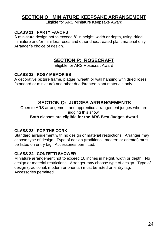## **SECTION O: MINIATURE KEEPSAKE ARRANGEMENT**

Eligible for ARS Miniature Keepsake Award

#### **CLASS 21. PARTY FAVORS**

A miniature design not to exceed 8" in height, width or depth, using dried miniature and/or miniflora roses and other dried/treated plant material only. Arranger's choice of design.

## **SECTION P: ROSECRAFT**

Eligible for ARS Rosecraft Award

#### **CLASS 22. ROSY MEMORIES**

A decorative picture frame, plaque, wreath or wall hanging with dried roses (standard or miniature) and other dried/treated plant materials only.

## **SECTION Q: JUDGES ARRANGEMENTS**

Open to ARS arrangement and apprentice arrangement judges who are judging this show.

#### **Both classes are eligible for the ARS Best Judges Award**

#### **CLASS 23. POP THE CORK**

Standard arrangement with no design or material restrictions. Arranger may choose type of design. Type of design (traditional, modern or oriental) must be listed on entry tag. Accessories permitted.

#### **CLASS 24. CONFETTI SHOWER**

Miniature arrangement not to exceed 10 inches in height, width or depth. No design or material restrictions. Arranger may choose type of design. Type of design (traditional, modern or oriental) must be listed on entry tag. Accessories permitted.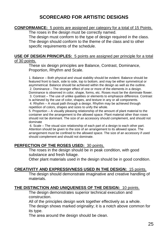## **SCORECARD FOR ARTISTIC DESIGNS**

#### **CONFORMANCE:** 5 points are assigned per category for a total of 15 Points.

The roses in the design must be correctly named.

The design must conform to the type of design required in the class. The design should conform to the theme of the class and to other specific requirements of the schedule.

#### **USE OF DESIGN PRINCIPLES:** 5 points are assigned per principle for a total of 30 points.

These six design principles are Balance, Contrast, Dominance, Proportion, Rhythm and Scale.

1. Balance – Both physical and visual stability should be evident. Balance should be featured front to back, side to side, top to bottom, and may be either symmetrical or asymmetrical. Balance should be achieved within the design as well as the outline. 2. Dominance – The stronger effect of one or more of the elements in a design. Dominance is observed in color, shape, forms, etc. Roses must be the dominate flower. 3. Contrast – The use of unlike qualities or elements to emphasize difference. Contrast is achieved by the use of color, shapes, and texture in any or all components. 4. Rhythm – A visual path through a design. Rhythm may be achieved through repetition of colors, shapes and sizes to unify the whole.

5. Proportion – A visually pleasing relationship of the amount of plant material to the container and the arrangement to the allowed space. Plant material other than roses should not be dominant. The size of an accessory should complement, and should not dominate

6. Scale – The visual size relationship of each part of a design to each other part. Attention should be given to the size of an arrangement to its allowed space. The arrangement must be confined to the allowed space. The size of an accessory if used should complement and should not dominate.

#### **PERFECTION OF THE ROSES USED:** 30 points.

The roses in the design should be in peak condition, with good substance and fresh foliage.

Other plant materials used in the design should be in good condition.

#### **CREATIVITY AND EXPRESSIVNESS USED IN THE DESIGN:** 15 points.

The design should demonstrate imaginative and creative handling of materials.

#### **THE DISTINCTION AND UNIQUENESS OF THE DESIGN:** 10 points.

The design demonstrates superior technical execution and construction.

All of the principles design work together effectively as a whole. The design shows marked originality; it is a notch above common for its type.

The area around the design should be clean.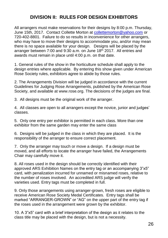## **DIVISION II: RULES FOR DESIGN EXHIBITORS**

All arrangers must make reservations for their designs by 8:00 p.m. Thursday, June 15th, 2017. Contact Collette Morton at [collettemorton@yahoo.com](mailto:collettemorton@yahoo.com) or 720-402-8801. Failure to do so results in inconvenience for other arrangers, who may have to move their designs to accommodate you, and/or may mean there is no space available for your design. Designs will be placed by the arranger between 7:00 and 9:30 a.m. on June 18 th 2017. All entries and awards must remain in place until 4:00 p.m. on that date.

1. General rules of the show in the horticulture schedule shall apply to the design entries where applicable. By entering this show given under American Rose Society rules, exhibitors agree to abide by those rules.

2. The Arrangements Division will be judged in accordance with the current Guidelines for Judging Rose Arrangements, published by the American Rose Society, and available at www.rose.org. The decisions of the judges are final.

3. All designs must be the original work of the arranger.

4. All classes are open to all arrangers except the novice, junior and judges' classes.

5. Only one entry per exhibitor is permitted in each class. More than one exhibitor from the same garden may enter the same class

6. Designs will be judged in the class in which they are placed. It is the responsibility of the arranger to ensure correct placement.

7. Only the arranger may touch or move a design. If a design must be moved, and all efforts to locate the arranger have failed, the Arrangements Chair may carefully move it.

8. All roses used in the design should be correctly identified with their approved ARS Exhibition Names on the entry tag or an accompanying 3"x5" card, with penalization incurred for unnamed or misnamed roses, relative to the number of roses involved. An accredited ARS judge will verify the varieties used. Entry tags must be completed in full.

9. Only those arrangements using arranger-grown, fresh roses are eligible to receive American Rose Society Medal Certificates. Entry tags shall be marked "ARRANGER-GROWN" or "AG" on the upper part of the entry tag if the roses used in the arrangement were grown by the exhibitor.

10. A 3"x5" card with a brief interpretation of the design as it relates to the class title may be placed with the design, but is not a necessity.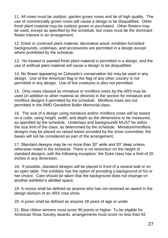11. All roses must be outdoor, garden grown roses and be of high quality. The use of commercially grown roses will cause a design to be disqualified. Other fresh plant material may be outdoor grown or purchased. Other flowers may be used, except as specified by the schedule, but roses must be the dominant flower interest in an arrangement.

12. Dried or contrived plant material, decorative wood, exhibitor-furnished backgrounds, underlays, and accessories are permitted in a design except where prohibited by the schedule.

13. No treated or painted fresh plant material is permitted in a design, and the use of artificial plant material will cause a design to be disqualified.

14. No flower appearing on Colorado's conservation list may be used in any design. Use of the American flag or the flag of any other country is not permitted in any design. Use of live creatures is also not permitted.

15. Only roses classed as miniature or miniflora roses by the ARS may be used (in addition to other material as desired) in the section for miniature and miniflora designs if permitted by the schedule. Miniflora roses are not permitted in the RMD Geraldine Boller Memorial class.

16. The size of a design using miniature and/or miniflora roses will be based on a cube, using height, width, and depth as the dimensions to be measured, as specified by the schedule. Underlays and backgrounds MUST be within the size limit of the class, as determined by the schedule. Miniature/miniflora designs may be placed on raised bases provided by the show committee; the bases will not be considered as part of the arrangement.

17. Standard designs may be no more than 30" wide and 30" deep unless otherwise noted in the schedule. There is no restriction on the height of standard designs, with the following exception: the Duke class has a limit of 20 inches in any dimension.

18. If possible, standard designs will be placed in front of a neutral wall or on an open table. The exhibitor has the option of providing a background of his or her choice. Care should be taken that the background does not impinge on another exhibitor's allotted space.

19. A novice shall be defined as anyone who has not received an award in the design division of an ARS rose show.

20. A junior shall be defined as anyone 18 years of age or under.

21. Blue ribbon winners must score 90 points or higher. To be eligible for American Rose Society awards, arrangements must score no less than 92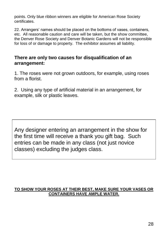points. Only blue ribbon winners are eligible for American Rose Society certificates.

22. Arrangers' names should be placed on the bottoms of vases, containers, etc. All reasonable caution and care will be taken, but the show committee, the Denver Rose Society and Denver Botanic Gardens will not be responsible for loss of or damage to property. The exhibitor assumes all liability.

### **There are only two causes for disqualification of an arrangement:**

1. The roses were not grown outdoors, for example, using roses from a florist.

2. Using any type of artificial material in an arrangement, for example, silk or plastic leaves.

Any designer entering an arrangement in the show for the first time will receive a thank you gift bag. Such entries can be made in any class (not just novice classes) excluding the judges class.

#### **TO SHOW YOUR ROSES AT THEIR BEST, MAKE SURE YOUR VASES OR CONTAINERS HAVE AMPLE WATER.**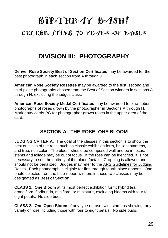## BIRSTHDAY BASH! CELEBROATING 70 YEARS OF ROSES

## **DIVISION III: PHOTOGRAPHY**

**Denver Rose Society Best of Section Certificates** may be awarded for the best photograph in each section from A through J.

**American Rose Society Rosettes** may be awarded to the first, second and third place photographs chosen from the Best of Section winners in sections A through H, excluding the judges class.

**American Rose Society Medal Certificates** may be awarded to blue-ribbon photographs of roses grown by the photographer in Sections A through H. Mark entry cards PG for photographer-grown roses in the upper area of the card.

## **SECTION A: THE ROSE: ONE BLOOM**

**JUDGING CRITERIA:** The goal of the classes in this section is to show the best qualities of the rose, such as classic exhibition form, brilliant stamens, and true, rich color. The bloom should be composed well and be in focus; stems and foliage may be out of focus. If the rose can be identified, it is not necessary to see the entirety of the bloom/petals. Cropping is allowed and should not be penalized. Judges may refer to the ARS Guidelines for Judging Roses. Each photograph is eligible for first through fourth place ribbons. One photo selected from the blue-ribbon winners in these two classes may be designated as **Best of Section**.

**CLASS 1. One Bloom** at its most perfect exhibition form: hybrid tea, grandiflora, floribunda, miniflora, or miniature, excluding blooms with four to eight petals. No side buds.

**CLASS 2. One Open Bloom** of any type of rose, with stamens showing: any variety of rose including those with four to eight petals. No side buds.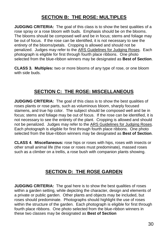## **SECTION B: THE ROSE: MULTIPLES**

**JUDGING CRITERIA:** The goal of this class is to show the best qualities of a rose spray or a rose bloom with buds. Emphasis should be on the blooms. The blooms should be composed well and be in focus; stems and foliage may be out of focus. If the rose can be identified, it is not necessary to see the entirety of the blooms/petals. Cropping is allowed and should not be penalized. Judges may refer to the ARS Guidelines for Judging Roses. Each photograph is eligible for first through fourth place ribbons. One photo selected from the blue-ribbon winners may be designated as **Best of Section**.

**CLASS 3. Multiples:** two or more blooms of any type of rose, or one bloom with side buds.

## **SECTION C: THE ROSE: MISCELLANEOUS**

**JUDGING CRITERIA:** The goal of this class is to show the best qualities of roses plants or rose parts, such as voluminous bloom, sharply focused stamens, and true hip color. The subject should be composed well and be in focus; stems and foliage may be out of focus. If the rose can be identified, it is not necessary to see the entirety of the plant. Cropping is allowed and should not be penalized. Judges may refer to the ARS Guidelines for Judging Roses. Each photograph is eligible for first through fourth place ribbons. One photo selected from the blue-ribbon winners may be designated as **Best of Section**.

**CLASS 4**. **Miscellaneous:** rose hips or roses with hips, roses with insects or other small animal life (the rose or roses must predominate), massed roses such as a climber on a trellis, a rose bush with companion plants showing.

## **SECTION D: THE ROSE GARDEN**

**JUDGING CRITERIA:** The goal here is to show the best qualities of roses within a garden setting, while depicting the character, design and elements of a private or public garden. Other plants and objects may be included, but roses should predominate. Photographs should highlight the use of roses within the structure of the garden. Each photograph is eligible for first through fourth place ribbons. One photo selected from the blue-ribbon winners in these two classes may be designated as **Best of Section**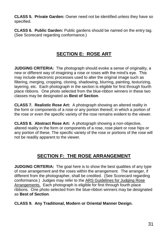**CLASS 5. Private Garden:** Owner need not be identified unless they have so specified.

**CLASS 6. Public Garden:** Public gardens should be named on the entry tag. (See Scorecard regarding conformance.)

## **SECTION E: ROSE ART**

**JUDGING CRITERIA:** The photograph should evoke a sense of originality, a new or different way of imagining a rose or roses with the mind's eye. This may include electronic processes used to alter the original image such as filtering, merging, cropping, cloning, shadowing, blurring, painting, texturizing, layering, etc. Each photograph in the section is eligible for first through fourth place ribbons. One photo selected from the blue-ribbon winners in these two classes may be designated as **Best of Section**.

**CLASS 7. Realistic Rose Art:** A photograph showing an altered reality in the form or components of a rose or any portion thereof, in which a portion of the rose or even the specific variety of the rose remains evident to the viewer.

**CLASS 8. Abstract Rose Art:** A photograph showing a non-objective, altered reality in the form or components of a rose, rose plant or rose hips or any portion of these. The specific variety of the rose or portions of the rose will not be readily apparent to the viewer.

## **SECTION F: THE ROSE ARRANGEMENT**

**JUDGING CRITERIA:** The goal here is to show the best qualities of any type of rose arrangement and the roses within the arrangement. The arranger, if different from the photographer, shall be credited. (See Scorecard regarding conformance.) Judges may refer to the ARS Guidelines for Judging Rose Arrangements. Each photograph is eligible for first through fourth place ribbons. One photo selected from the blue-ribbon winners may be designated as **Best of Section**.

**CLASS 9. Any Traditional, Modern or Oriental Manner Design.**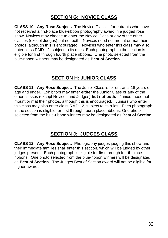## **SECTION G: NOVICE CLASS**

**CLASS 10. Any Rose Subject.** The Novice Class is for entrants who have not received a first-place blue-ribbon photography award in a judged rose show. Novices may choose to enter the Novice Class or any of the other classes (except Judges) but not both. Novices need not mount or mat their photos, although this is encouraged. Novices who enter this class may also enter class RMD 12, subject to its rules. Each photograph in the section is eligible for first through fourth place ribbons. One photo selected from the blue-ribbon winners may be designated as **Best of Section**.

## **SECTION H: JUNIOR CLASS**

**CLASS 11. Any Rose Subject.** The Junior Class is for entrants 18 years of age and under. Exhibitors may enter **either** the Junior Class or any of the other classes (except Novices and Judges) **but not both.** Juniors need not mount or mat their photos, although this is encouraged. Juniors who enter this class may also enter class RMD 12, subject to its rules. Each photograph in the section is eligible for first through fourth place ribbons. One photo selected from the blue-ribbon winners may be designated as **Best of Section**.

## **SECTION J: JUDGES CLASS**

**CLASS 12. Any Rose Subject.** Photography judges judging this show and their immediate families shall enter this section, which will be judged by other judges present. Each photograph is eligible for first through fourth place ribbons. One photo selected from the blue-ribbon winners will be designated as **Best of Section.** The Judges Best of Section award will not be eligible for higher awards.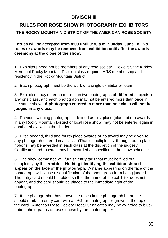## **DIVISON III**

## **RULES FOR ROSE SHOW PHOTOGRAPHY EXHIBITORS**

#### **THE ROCKY MOUNTAIN DISTRICT OF THE AMERICAN ROSE SOCIETY**

**Entries will be accepted from 8:00 until 9:30 a.m. Sunday, June 18. No roses or awards may be removed from exhibition until after the awards ceremony at the close of the show.**

1. Exhibitors need not be members of any rose society. However, the Kirkley Memorial Rocky Mountain Division class requires ARS membership and residency in the Rocky Mountain District.

2. Each photograph must be the work of a single exhibitor or team.

3. Exhibitors may enter no more than two photographs of **different** subjects in any one class, and each photograph may not be entered more than once in the same show. **A photograph entered in more than one class will not be judged in any class.**

4. Previous winning photographs, defined as first place (blue ribbon) awards in any Rocky Mountain District or local rose show, may not be entered again in another show within the district.

5. First, second, third and fourth place awards or no award may be given to any photograph entered in a class. (That is, multiple first through fourth place ribbons may be awarded in each class at the discretion of the judges.) Certificates and rosettes may be awarded as specified in the show schedule.

6. The show committee will furnish entry tags that must be filled out completely by the exhibitor. **Nothing identifying the exhibitor should appear on the face of the photograph.** A name appearing on the face of the photograph will cause disqualification of the photograph from being judged. The entry card should be folded so that the name of the exhibitor does not appear, and the card should be placed to the immediate right of the photograph.

7. If the photographer has grown the roses in the photograph he or she should mark the entry card with an PG for photographer-grown at the top of the card. American Rose Society Medal Certificates may be awarded to blueribbon photographs of roses grown by the photographer.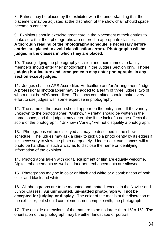8. Entries may be placed by the exhibitor with the understanding that the placement may be adjusted at the discretion of the show chair should space become a concern.

9. Exhibitors should exercise great care in the placement of their entries to make sure that their photographs are entered in appropriate classes. **A thorough reading of the photography schedule is necessary before entries are placed to avoid classification errors. Photographs will be judged in the classes in which they are placed.**

10. Those judging the photography division and their immediate family members should enter their photographs in the Judges Section only. **Those judging horticulture and arrangements may enter photographs in any section except judges.**

11. Judges shall be ARS Accredited Horticulture and/or Arrangement Judges. A professional photographer may be added to a team of three judges, two of whom must be ARS accredited. The show committee should make every effort to use judges with some expertise in photography.

12. The name of the rose(s) should appear on the entry card. If the variety is unknown to the photographer, "Unknown Variety" should be written in the name space, and the judges may determine if the lack of a name affects the score of the photograph. "Unknown Variety" will not disqualify a photograph.

13. Photographs will be displayed as may be described in the show schedule. The judges may ask a clerk to pick up a photo gently by its edges if it is necessary to view the photo adequately. Under no circumstances will a photo be handled in such a way as to disclose the name or identifying information of the exhibitor.

14. Photographs taken with digital equipment or film are equally welcome. Digital enhancements as well as darkroom enhancements are allowed.

15. Photographs may be in color or black and white or a combination of both color and black and white.

16. All photographs are to be mounted and matted, except in the Novice and Junior Classes. **An unmounted, un-matted photograph will not be accepted for judging or display.** The color of the mat is at the discretion of the exhibitor, but should complement, not compete with, the photograph.

17. The outside dimensions of the mat are to be no larger than 15" x 15". The orientation of the photograph may be either landscape or portrait.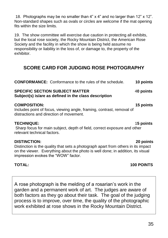18. Photographs may be no smaller than 4" x 4" and no larger than 12" x 12". Non-standard shapes such as ovals or circles are welcome if the mat opening fits within the size limits.

19. The show committee will exercise due caution in protecting all exhibits, but the local rose society, the Rocky Mountain District, the American Rose Society and the facility in which the show is being held assume no responsibility or liability in the loss of, or damage to, the property of the exhibitor.

## **SCORE CARD FOR JUDGING ROSE PHOTOGRAPHY**

**CONFORMANCE:** Conformance to the rules of the schedule. **10 points SPECIFIC SECTION SUBJECT MATTER** 4**0 points Subject(s) is/are as defined in the class description COMPOSITION: 15 points**

Includes point of focus, viewing angle, framing, contrast, removal of distractions and direction of movement.

#### **TECHNIQUE:** 1**5 points**

Sharp focus for main subject, depth of field, correct exposure and other relevant technical factors.

#### **DISTINCTION: 20 points**

Distinction is the quality that sets a photograph apart from others in its impact on the viewer. Everything about the photo is well done; in addition, its visual impression evokes the "WOW" factor.

### **TOTAL: 100 POINTS**

A rose photograph is the melding of a rosarian's work in the garden and a permanent work of art. The judges are aware of both factors as they go about their task. The goal of the judging process is to improve, over time, the quality of the photographic work exhibited at rose shows in the Rocky Mountain District.